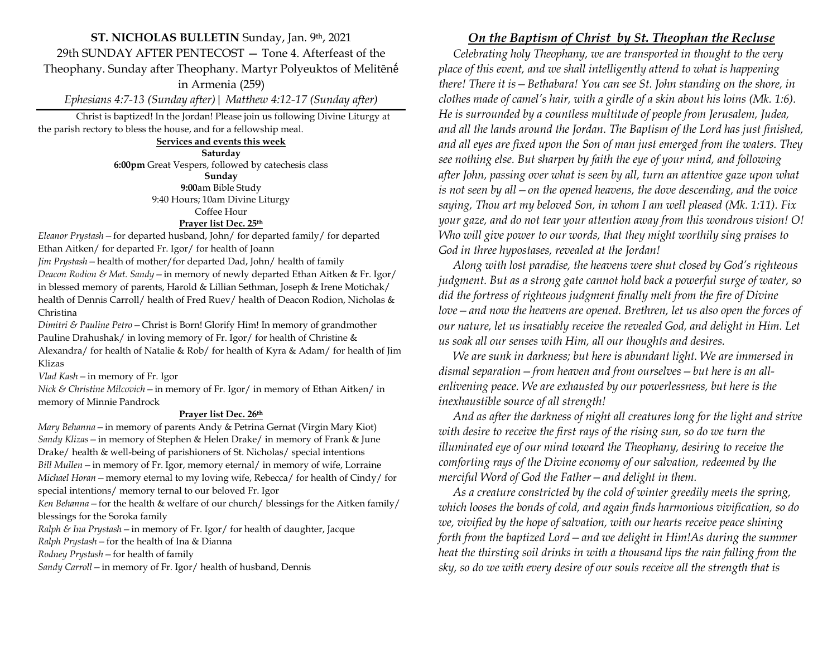## **ST. NICHOLAS BULLETIN** Sunday, Jan. 9th, 2021 29th SUNDAY AFTER PENTECOST — Tone 4. Afterfeast of the Theophany. Sunday after Theophany. Martyr Polyeuktos of Melitēnḗ in Armenia (259) *Ephesians 4:7-13 (Sunday after)| Matthew 4:12-17 (Sunday after)*

Christ is baptized! In the Jordan! Please join us following Divine Liturgy at the parish rectory to bless the house, and for a fellowship meal.

> **Services and events this week Saturday 6:00pm** Great Vespers, followed by catechesis class **Sunday 9:00**am Bible Study 9:40 Hours; 10am Divine Liturgy Coffee Hour **Prayer list Dec. 25th**

*Eleanor Prystash—*for departed husband, John/ for departed family/ for departed Ethan Aitken/ for departed Fr. Igor/ for health of Joann

*Jim Prystash—*health of mother/for departed Dad, John/ health of family

*Deacon Rodion & Mat. Sandy—*in memory of newly departed Ethan Aitken & Fr. Igor/ in blessed memory of parents, Harold & Lillian Sethman, Joseph & Irene Motichak/ health of Dennis Carroll/ health of Fred Ruev/ health of Deacon Rodion, Nicholas & Christina

*Dimitri & Pauline Petro—*Christ is Born! Glorify Him! In memory of grandmother Pauline Drahushak/ in loving memory of Fr. Igor/ for health of Christine & Alexandra/ for health of Natalie & Rob/ for health of Kyra & Adam/ for health of Jim Klizas

*Vlad Kash—*in memory of Fr. Igor

*Nick & Christine Milcovich—*in memory of Fr. Igor/ in memory of Ethan Aitken/ in memory of Minnie Pandrock

## **Prayer list Dec. 26th**

*Mary Behanna—*in memory of parents Andy & Petrina Gernat (Virgin Mary Kiot) *Sandy Klizas—*in memory of Stephen & Helen Drake/ in memory of Frank & June Drake/ health & well-being of parishioners of St. Nicholas/ special intentions *Bill Mullen—*in memory of Fr. Igor, memory eternal/ in memory of wife, Lorraine *Michael Horan—*memory eternal to my loving wife, Rebecca/ for health of Cindy/ for special intentions/ memory ternal to our beloved Fr. Igor

*Ken Behanna—*for the health & welfare of our church/ blessings for the Aitken family/ blessings for the Soroka family

*Ralph & Ina Prystash—*in memory of Fr. Igor/ for health of daughter, Jacque

*Ralph Prystash—*for the health of Ina & Dianna

*Rodney Prystash—*for health of family

*Sandy Carroll—*in memory of Fr. Igor/ health of husband, Dennis

## *On the Baptism of Christ by St. Theophan the Recluse*

 *Celebrating holy Theophany, we are transported in thought to the very place of this event, and we shall intelligently attend to what is happening there! There it is—Bethabara! You can see St. John standing on the shore, in clothes made of camel's hair, with a girdle of a skin about his loins (Mk. 1:6). He is surrounded by a countless multitude of people from Jerusalem, Judea, and all the lands around the Jordan. The Baptism of the Lord has just finished, and all eyes are fixed upon the Son of man just emerged from the waters. They see nothing else. But sharpen by faith the eye of your mind, and following after John, passing over what is seen by all, turn an attentive gaze upon what is not seen by all—on the opened heavens, the dove descending, and the voice saying, Thou art my beloved Son, in whom I am well pleased (Mk. 1:11). Fix your gaze, and do not tear your attention away from this wondrous vision! O! Who will give power to our words, that they might worthily sing praises to God in three hypostases, revealed at the Jordan!*

 *Along with lost paradise, the heavens were shut closed by God's righteous judgment. But as a strong gate cannot hold back a powerful surge of water, so did the fortress of righteous judgment finally melt from the fire of Divine love—and now the heavens are opened. Brethren, let us also open the forces of our nature, let us insatiably receive the revealed God, and delight in Him. Let us soak all our senses with Him, all our thoughts and desires.*

 *We are sunk in darkness; but here is abundant light. We are immersed in dismal separation—from heaven and from ourselves—but here is an allenlivening peace. We are exhausted by our powerlessness, but here is the inexhaustible source of all strength!*

 *And as after the darkness of night all creatures long for the light and strive with desire to receive the first rays of the rising sun, so do we turn the illuminated eye of our mind toward the Theophany, desiring to receive the comforting rays of the Divine economy of our salvation, redeemed by the merciful Word of God the Father—and delight in them.*

 *As a creature constricted by the cold of winter greedily meets the spring, which looses the bonds of cold, and again finds harmonious vivification, so do we, vivified by the hope of salvation, with our hearts receive peace shining forth from the baptized Lord—and we delight in Him!As during the summer heat the thirsting soil drinks in with a thousand lips the rain falling from the sky, so do we with every desire of our souls receive all the strength that is*